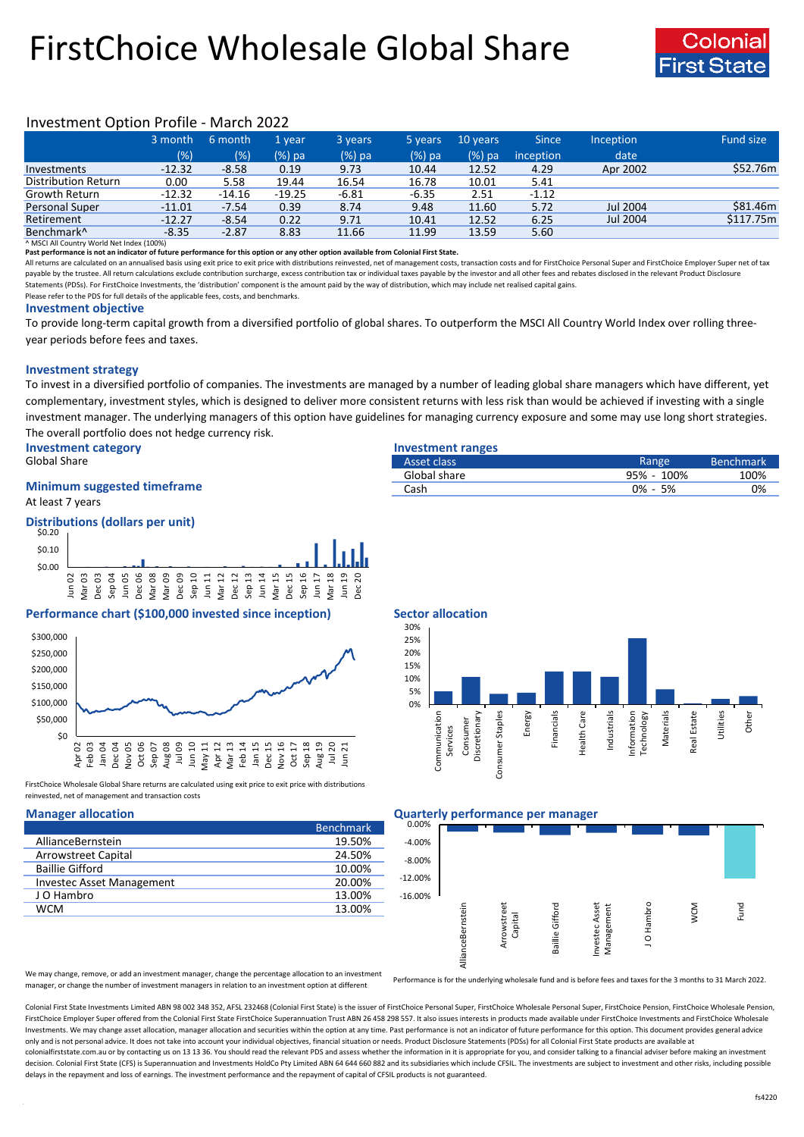# FirstChoice Wholesale Global Share



## Investment Option Profile - March 2022

|                            | 3 month  | 6 month  | 1 vear   | 3 years | 5 years | 10 years | <b>Since</b> | Inception | Fund size |
|----------------------------|----------|----------|----------|---------|---------|----------|--------------|-----------|-----------|
|                            | (% )     | (%)      | $(%)$ pa | (%) pa  | (%) pa  | $(%)$ pa | inception    | date      |           |
| Investments                | $-12.32$ | $-8.58$  | 0.19     | 9.73    | 10.44   | 12.52    | 4.29         | Apr 2002  | \$52.76m  |
| <b>Distribution Return</b> | 0.00     | 5.58     | 19.44    | 16.54   | 16.78   | 10.01    | 5.41         |           |           |
| Growth Return              | $-12.32$ | $-14.16$ | $-19.25$ | $-6.81$ | $-6.35$ | 2.51     | $-1.12$      |           |           |
| <b>Personal Super</b>      | $-11.01$ | $-7.54$  | 0.39     | 8.74    | 9.48    | 11.60    | 5.72         | Jul 2004  | \$81.46m  |
| Retirement                 | $-12.27$ | $-8.54$  | 0.22     | 9.71    | 10.41   | 12.52    | 6.25         | Jul 2004  | \$117.75m |
| Benchmark <sup>^</sup>     | $-8.35$  | $-2.87$  | 8.83     | 11.66   | 11.99   | 13.59    | 5.60         |           |           |

^ MSCI All Country World Net Index (100%)

**Past performance is not an indicator of future performance for this option or any other option available from Colonial First State.**

All returns are calculated on an annualised basis using exit price to exit price with distributions reinvested, net of management costs, transaction costs and for FirstChoice Personal Super and FirstChoice Employer Super n payable by the trustee. All return calculations exclude contribution surcharge, excess contribution tax or individual taxes payable by the investor and all other fees and rebates disclosed in the relevant Product Disclosur Statements (PDSs). For FirstChoice Investments, the 'distribution' component is the amount paid by the way of distribution, which may include net realised capital gains.

Please refer to the PDS for full details of the applicable fees, costs, and benchmarks.

### **Investment objective**

To provide long-term capital growth from a diversified portfolio of global shares. To outperform the MSCI All Country World Index over rolling threeyear periods before fees and taxes.

### **Investment strategy**

To invest in a diversified portfolio of companies. The investments are managed by a number of leading global share managers which have different, yet complementary, investment styles, which is designed to deliver more consistent returns with less risk than would be achieved if investing with a single investment manager. The underlying managers of this option have guidelines for managing currency exposure and some may use long short strategies. The overall portfolio does not hedge currency risk.

**Investment category Investment ranges**

## **Minimum suggested timeframe**

At least 7 years

### **Distributions (dollars per unit)**



### **Performance chart (\$100,000 invested since inception) Sector allocation**



FirstChoice Wholesale Global Share returns are calculated using exit price to exit price with distributions reinvested, net of management and transaction costs

|                                  | <b>Benchmark</b> |
|----------------------------------|------------------|
| AllianceBernstein                | 19.50%           |
| <b>Arrowstreet Capital</b>       | 24.50%           |
| <b>Baillie Gifford</b>           | 10.00%           |
| <b>Investec Asset Management</b> | 20.00%           |
| J O Hambro                       | 13.00%           |
| <b>WCM</b>                       | 13.00%           |

| Global Share                                                                                                    | Asset class  | Range.     | <b>Benchmark</b> |
|-----------------------------------------------------------------------------------------------------------------|--------------|------------|------------------|
|                                                                                                                 | Global share | 95% - 100% | 100%             |
| <b>Minimum suggested timeframe</b>                                                                              | Cash         | 5%<br>0% - | 0%               |
| the contract of the contract of the contract of the contract of the contract of the contract of the contract of |              |            |                  |



### **Manager allocation Quarterly performance per manager** 0.00%



We may change, remove, or add an investment manager, change the percentage allocation to an investment manager, or change the number of investment managers in relation to an investment option at different

Performance is for the underlying wholesale fund and is before fees and taxes for the 3 months to 31 March 2022.

Colonial First State Investments Limited ABN 98 002 348 352, AFSL 232468 (Colonial First State) is the issuer of FirstChoice Personal Super, FirstChoice Wholesale Personal Super, FirstChoice Personal Super, FirstChoice Who FirstChoice Employer Super offered from the Colonial First State FirstChoice Superannuation Trust ABN 26 458 298 557. It also issues interests in products made available under FirstChoice Investments and FirstChoice Wholes Investments. We may change asset allocation, manager allocation and securities within the option at any time. Past performance is not an indicator of future performance for this option. This document provides general advic only and is not personal advice. It does not take into account your individual objectives, financial situation or needs. Product Disclosure Statements (PDSs) for all Colonial First State products are available at colonialfirststate.com.au or by contacting us on 13 13 36. You should read the relevant PDS and assess whether the information in it is appropriate for you, and consider talking to a financial adviser before making an inve decision. Colonial First State (CFS) is Superannuation and Investments HoldCo Pty Limited ABN 64 644 660 882 and its subsidiaries which include CFSIL. The investments are subject to investment and other risks, including po delays in the repayment and loss of earnings. The investment performance and the repayment of capital of CFSIL products is not guaranteed.

Utilities

Other